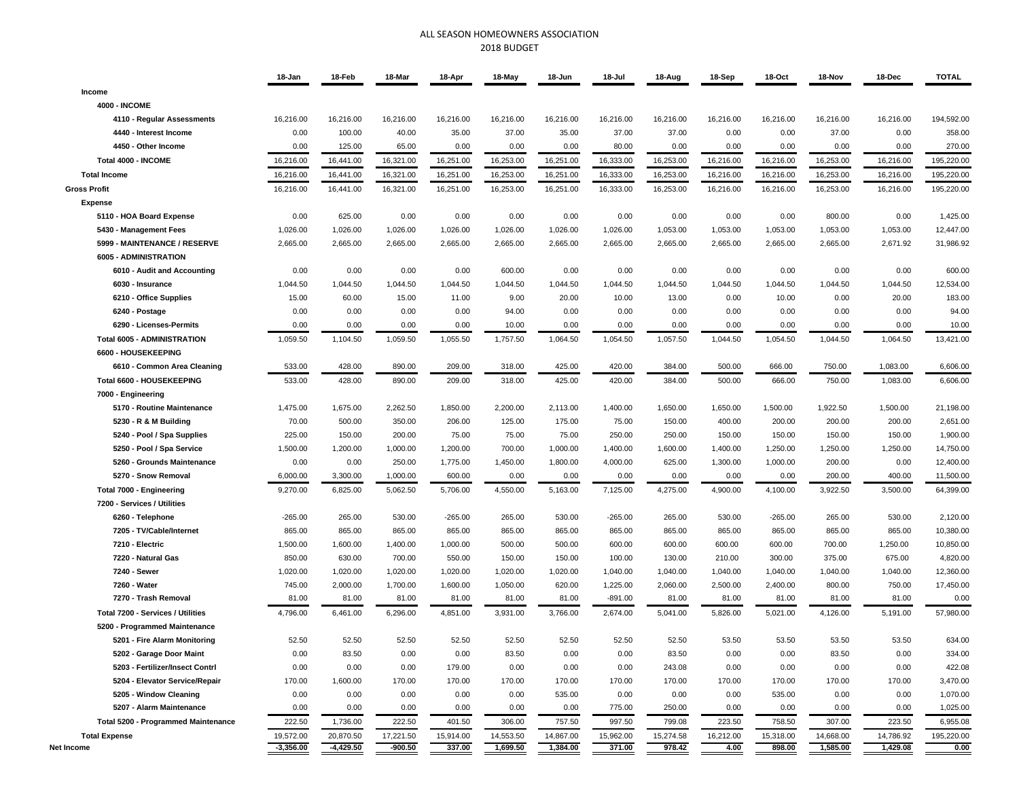## ALL SEASON HOMEOWNERS ASSOCIATION 2018 BUDGET

|                                                          | 18-Jan                   | 18-Feb                   | 18-Mar                 | 18-Apr              | 18-May                | 18-Jun                | 18-Jul              | 18-Aug              | 18-Sep            | 18-Oct              | 18-Nov                | 18-Dec                | <b>TOTAL</b>       |
|----------------------------------------------------------|--------------------------|--------------------------|------------------------|---------------------|-----------------------|-----------------------|---------------------|---------------------|-------------------|---------------------|-----------------------|-----------------------|--------------------|
| Income                                                   |                          |                          |                        |                     |                       |                       |                     |                     |                   |                     |                       |                       |                    |
| <b>4000 - INCOME</b>                                     |                          |                          |                        |                     |                       |                       |                     |                     |                   |                     |                       |                       |                    |
| 4110 - Regular Assessments                               | 16,216.00                | 16,216.00                | 16,216.00              | 16,216.00           | 16,216.00             | 16,216.00             | 16,216.00           | 16,216.00           | 16,216.00         | 16,216.00           | 16,216.00             | 16,216.00             | 194,592.00         |
| 4440 - Interest Income                                   | 0.00                     | 100.00                   | 40.00                  | 35.00               | 37.00                 | 35.00                 | 37.00               | 37.00               | 0.00              | 0.00                | 37.00                 | 0.00                  | 358.00             |
| 4450 - Other Income                                      | 0.00                     | 125.00                   | 65.00                  | 0.00                | 0.00                  | 0.00                  | 80.00               | 0.00                | 0.00              | 0.00                | 0.00                  | 0.00                  | 270.00             |
| Total 4000 - INCOME                                      | 16,216.00                | 16,441.00                | 16,321.00              | 16,251.00           | 16,253.00             | 16,251.00             | 16,333.00           | 16,253.00           | 16,216.00         | 16,216.00           | 16,253.00             | 16,216.00             | 195,220.00         |
| <b>Total Income</b>                                      | 16,216.00                | 16,441.00                | 16,321.00              | 16,251.00           | 16,253.00             | 16,251.00             | 16,333.00           | 16,253.00           | 16,216.00         | 16,216.00           | 16,253.00             | 16,216.00             | 195,220.00         |
| <b>Gross Profit</b>                                      | 16,216.00                | 16,441.00                | 16,321.00              | 16,251.00           | 16,253.00             | 16,251.00             | 16,333.00           | 16,253.00           | 16,216.00         | 16,216.00           | 16,253.00             | 16,216.00             | 195,220.00         |
| <b>Expense</b>                                           |                          |                          |                        |                     |                       |                       |                     |                     |                   |                     |                       |                       |                    |
| 5110 - HOA Board Expense                                 | 0.00                     | 625.00                   | 0.00                   | 0.00                | 0.00                  | 0.00                  | 0.00                | 0.00                | 0.00              | 0.00                | 800.00                | 0.00                  | 1,425.00           |
| 5430 - Management Fees                                   | 1,026.00                 | 1,026.00                 | 1,026.00               | 1,026.00            | 1,026.00              | 1,026.00              | 1,026.00            | 1,053.00            | 1,053.00          | 1,053.00            | 1,053.00              | 1,053.00              | 12,447.00          |
| 5999 - MAINTENANCE / RESERVE                             | 2,665.00                 | 2,665.00                 | 2,665.00               | 2,665.00            | 2,665.00              | 2,665.00              | 2,665.00            | 2,665.00            | 2,665.00          | 2,665.00            | 2,665.00              | 2,671.92              | 31,986.92          |
| 6005 - ADMINISTRATION                                    |                          |                          |                        |                     |                       |                       |                     |                     |                   |                     |                       |                       |                    |
| 6010 - Audit and Accounting                              | 0.00                     | 0.00                     | 0.00                   | 0.00                | 600.00                | 0.00                  | 0.00                | 0.00                | 0.00              | 0.00                | 0.00                  | 0.00                  | 600.00             |
| 6030 - Insurance                                         | 1,044.50                 | 1,044.50                 | 1,044.50               | 1,044.50            | 1,044.50              | 1,044.50              | 1,044.50            | 1,044.50            | 1,044.50          | 1,044.50            | 1,044.50              | 1,044.50              | 12,534.00          |
| 6210 - Office Supplies                                   | 15.00                    | 60.00                    | 15.00                  | 11.00               | 9.00                  | 20.00                 | 10.00               | 13.00               | 0.00              | 10.00               | 0.00                  | 20.00                 | 183.00             |
| 6240 - Postage                                           | 0.00                     | 0.00                     | 0.00                   | 0.00                | 94.00                 | 0.00                  | 0.00                | 0.00                | 0.00              | 0.00                | 0.00                  | 0.00                  | 94.00              |
| 6290 - Licenses-Permits                                  | 0.00                     | 0.00                     | 0.00                   | 0.00                | 10.00                 | 0.00                  | 0.00                | 0.00                | 0.00              | 0.00                | 0.00                  | 0.00                  | 10.00              |
| <b>Total 6005 - ADMINISTRATION</b>                       | 1,059.50                 | 1,104.50                 | 1,059.50               | 1,055.50            | 1,757.50              | 1,064.50              | 1,054.50            | 1,057.50            | 1,044.50          | 1,054.50            | 1,044.50              | 1,064.50              | 13,421.00          |
| 6600 - HOUSEKEEPING                                      |                          |                          |                        |                     |                       |                       |                     |                     |                   |                     |                       |                       |                    |
| 6610 - Common Area Cleaning                              | 533.00                   | 428.00                   | 890.00                 | 209.00              | 318.00                | 425.00                | 420.00              | 384.00              | 500.00            | 666.00              | 750.00                | 1,083.00              | 6,606.00           |
| Total 6600 - HOUSEKEEPING                                | 533.00                   | 428.00                   | 890.00                 | 209.00              | 318.00                | 425.00                | 420.00              | 384.00              | 500.00            | 666.00              | 750.00                | 1,083.00              | 6,606.00           |
| 7000 - Engineering                                       |                          |                          |                        |                     |                       |                       |                     |                     |                   |                     |                       |                       |                    |
| 5170 - Routine Maintenance                               | 1,475.00                 | 1,675.00                 | 2,262.50               | 1,850.00            | 2,200.00              | 2,113.00              | 1,400.00            | 1,650.00            | 1,650.00          | 1,500.00            | 1,922.50              | 1,500.00              | 21,198.00          |
| 5230 - R & M Building                                    | 70.00                    | 500.00                   | 350.00                 | 206.00              | 125.00                | 175.00                | 75.00               | 150.00              | 400.00            | 200.00              | 200.00                | 200.00                | 2,651.00           |
| 5240 - Pool / Spa Supplies                               | 225.00                   | 150.00                   | 200.00                 | 75.00               | 75.00                 | 75.00                 | 250.00              | 250.00              | 150.00            | 150.00              | 150.00                | 150.00                | 1,900.00           |
| 5250 - Pool / Spa Service                                | 1,500.00                 | 1,200.00                 | 1,000.00               | 1,200.00            | 700.00                | 1,000.00              | 1,400.00            | 1,600.00            | 1,400.00          | 1,250.00            | 1,250.00              | 1,250.00              | 14,750.00          |
| 5260 - Grounds Maintenance                               | 0.00                     | 0.00                     | 250.00                 | 1,775.00            | 1,450.00              | 1,800.00              | 4,000.00            | 625.00              | 1,300.00          | 1,000.00            | 200.00                | 0.00                  | 12,400.00          |
| 5270 - Snow Removal                                      | 6,000.00                 | 3,300.00                 | 1,000.00               | 600.00              | 0.00                  | 0.00                  | 0.00                | 0.00                | 0.00              | 0.00                | 200.00                | 400.00                | 11,500.00          |
| Total 7000 - Engineering                                 | 9,270.00                 | 6,825.00                 | 5,062.50               | 5,706.00            | 4,550.00              | 5,163.00              | 7,125.00            | 4,275.00            | 4,900.00          | 4,100.00            | 3,922.50              | 3,500.00              | 64,399.00          |
| 7200 - Services / Utilities                              |                          |                          |                        |                     |                       |                       |                     |                     |                   |                     |                       |                       |                    |
| 6260 - Telephone                                         | $-265.00$                | 265.00                   | 530.00                 | $-265.00$           | 265.00                | 530.00                | $-265.00$           | 265.00              | 530.00            | $-265.00$           | 265.00                | 530.00                | 2,120.00           |
| 7205 - TV/Cable/Internet                                 | 865.00                   | 865.00                   | 865.00                 | 865.00              | 865.00                | 865.00                | 865.00              | 865.00              | 865.00            | 865.00              | 865.00                | 865.00                | 10,380.00          |
| 7210 - Electric                                          | 1,500.00                 | 1,600.00                 | 1,400.00               | 1,000.00            | 500.00                | 500.00                | 600.00              | 600.00              | 600.00            | 600.00              | 700.00                | 1,250.00              | 10,850.00          |
| 7220 - Natural Gas                                       | 850.00                   | 630.00                   | 700.00                 | 550.00              | 150.00                | 150.00                | 100.00              | 130.00              | 210.00            | 300.00              | 375.00                | 675.00                | 4,820.00           |
| 7240 - Sewer                                             | 1,020.00                 | 1,020.00                 | 1,020.00               | 1,020.00            | 1,020.00              | 1,020.00              | 1,040.00            | 1,040.00            | 1,040.00          | 1,040.00            | 1,040.00              | 1,040.00              | 12,360.00          |
| 7260 - Water                                             | 745.00                   | 2,000.00                 | 1,700.00               | 1,600.00            | 1,050.00              | 620.00                | 1,225.00            | 2,060.00            | 2,500.00          | 2,400.00            | 800.00                | 750.00                | 17,450.00          |
| 7270 - Trash Removal                                     | 81.00                    | 81.00                    | 81.00                  | 81.00               | 81.00                 | 81.00                 | $-891.00$           | 81.00               | 81.00             | 81.00               | 81.00                 | 81.00                 | 0.00               |
| Total 7200 - Services / Utilities                        | 4,796.00                 | 6,461.00                 | 6,296.00               | 4,851.00            | 3,931.00              | 3,766.00              | 2,674.00            | 5,041.00            | 5,826.00          | 5,021.00            | 4,126.00              | 5,191.00              | 57,980.00          |
| 5200 - Programmed Maintenance                            |                          |                          |                        |                     |                       |                       |                     |                     |                   |                     |                       |                       |                    |
| 5201 - Fire Alarm Monitoring                             | 52.50                    | 52.50                    | 52.50                  | 52.50               | 52.50                 | 52.50                 | 52.50               | 52.50               | 53.50             | 53.50               | 53.50                 | 53.50                 | 634.00             |
|                                                          |                          | 83.50                    |                        |                     |                       |                       |                     |                     |                   |                     |                       |                       |                    |
| 5202 - Garage Door Maint                                 | 0.00                     |                          | 0.00                   | 0.00                | 83.50                 | 0.00                  | 0.00                | 83.50               | 0.00              | 0.00                | 83.50                 | 0.00                  | 334.00             |
| 5203 - Fertilizer/Insect Contrl                          | 0.00                     | 0.00                     | 0.00                   | 179.00              | 0.00                  | 0.00                  | 0.00                | 243.08              | 0.00              | 0.00                | 0.00                  | 0.00                  | 422.08             |
| 5204 - Elevator Service/Repair<br>5205 - Window Cleaning | 170.00                   | 1,600.00                 | 170.00                 | 170.00              | 170.00                | 170.00                | 170.00              | 170.00              | 170.00            | 170.00              | 170.00                | 170.00                | 3,470.00           |
| 5207 - Alarm Maintenance                                 | 0.00                     | 0.00                     | 0.00                   | 0.00                | 0.00                  | 535.00                | 0.00                | 0.00                | 0.00              | 535.00              | 0.00                  | 0.00                  | 1,070.00           |
|                                                          | 0.00                     | 0.00                     | 0.00                   | 0.00                | 0.00                  | 0.00                  | 775.00              | 250.00              | 0.00              | 0.00                | 0.00                  | 0.00                  | 1,025.00           |
| Total 5200 - Programmed Maintenance                      | 222.50                   | 1,736.00                 | 222.50                 | 401.50              | 306.00                | 757.50                | 997.50              | 799.08              | 223.50            | 758.50              | 307.00                | 223.50                | 6,955.08           |
| <b>Total Expense</b><br>Net Income                       | 19,572.00<br>$-3,356.00$ | 20,870.50<br>$-4,429.50$ | 17,221.50<br>$-900.50$ | 15,914.00<br>337.00 | 14,553.50<br>1,699.50 | 14,867.00<br>1,384.00 | 15,962.00<br>371.00 | 15,274.58<br>978.42 | 16,212.00<br>4.00 | 15,318.00<br>898.00 | 14,668.00<br>1,585.00 | 14,786.92<br>1,429.08 | 195,220.00<br>0.00 |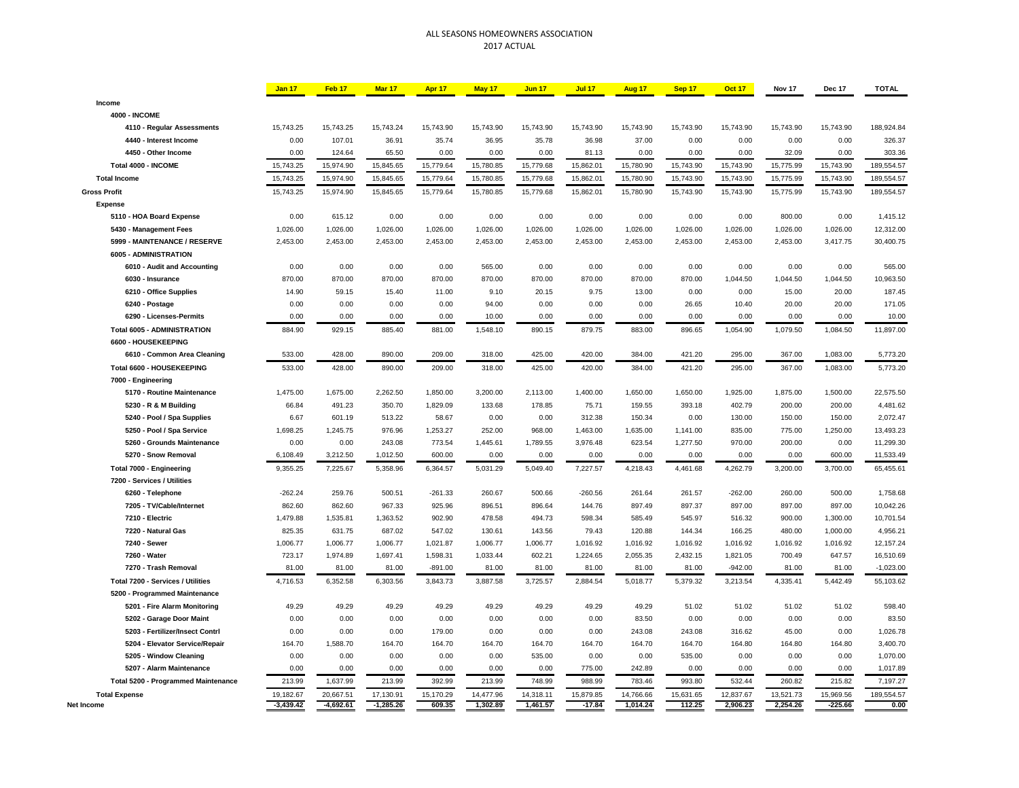## ALL SEASONS HOMEOWNERS ASSOCIATION 2017 ACTUAL

|                                            | <b>Jan 17</b> | Feb 17      | Mar 17      | Apr 17    | May 17    | <b>Jun 17</b> | <b>Jul 17</b> | Aug 17    | Sep 17    | <b>Oct 17</b> | Nov 17    | Dec 17    | <b>TOTAL</b> |
|--------------------------------------------|---------------|-------------|-------------|-----------|-----------|---------------|---------------|-----------|-----------|---------------|-----------|-----------|--------------|
| Income                                     |               |             |             |           |           |               |               |           |           |               |           |           |              |
| <b>4000 - INCOME</b>                       |               |             |             |           |           |               |               |           |           |               |           |           |              |
| 4110 - Regular Assessments                 | 15,743.25     | 15,743.25   | 15,743.24   | 15,743.90 | 15,743.90 | 15,743.90     | 15,743.90     | 15,743.90 | 15,743.90 | 15,743.90     | 15,743.90 | 15,743.90 | 188,924.84   |
| 4440 - Interest Income                     | 0.00          | 107.01      | 36.91       | 35.74     | 36.95     | 35.78         | 36.98         | 37.00     | 0.00      | 0.00          | 0.00      | 0.00      | 326.37       |
| 4450 - Other Income                        | 0.00          | 124.64      | 65.50       | 0.00      | 0.00      | 0.00          | 81.13         | 0.00      | 0.00      | 0.00          | 32.09     | 0.00      | 303.36       |
| Total 4000 - INCOME                        | 15,743.25     | 15,974.90   | 15,845.65   | 15,779.64 | 15,780.85 | 15,779.68     | 15,862.01     | 15,780.90 | 15,743.90 | 15,743.90     | 15,775.99 | 15,743.90 | 189,554.57   |
| <b>Total Income</b>                        | 15,743.25     | 15,974.90   | 15,845.65   | 15,779.64 | 15,780.85 | 15,779.68     | 15,862.01     | 15,780.90 | 15,743.90 | 15,743.90     | 15,775.99 | 15,743.90 | 189,554.57   |
| <b>Gross Profit</b>                        | 15,743.25     | 15,974.90   | 15,845.65   | 15,779.64 | 15,780.85 | 15,779.68     | 15,862.01     | 15,780.90 | 15,743.90 | 15,743.90     | 15,775.99 | 15,743.90 | 189,554.57   |
| <b>Expense</b>                             |               |             |             |           |           |               |               |           |           |               |           |           |              |
| 5110 - HOA Board Expense                   | 0.00          | 615.12      | 0.00        | 0.00      | 0.00      | 0.00          | 0.00          | 0.00      | 0.00      | 0.00          | 800.00    | 0.00      | 1,415.12     |
| 5430 - Management Fees                     | 1,026.00      | 1,026.00    | 1,026.00    | 1,026.00  | 1,026.00  | 1,026.00      | 1,026.00      | 1,026.00  | 1,026.00  | 1,026.00      | 1,026.00  | 1,026.00  | 12,312.00    |
| 5999 - MAINTENANCE / RESERVE               | 2,453.00      | 2,453.00    | 2,453.00    | 2,453.00  | 2,453.00  | 2,453.00      | 2,453.00      | 2,453.00  | 2,453.00  | 2,453.00      | 2,453.00  | 3,417.75  | 30,400.75    |
| 6005 - ADMINISTRATION                      |               |             |             |           |           |               |               |           |           |               |           |           |              |
| 6010 - Audit and Accounting                | 0.00          | 0.00        | 0.00        | 0.00      | 565.00    | 0.00          | 0.00          | 0.00      | 0.00      | 0.00          | 0.00      | 0.00      | 565.00       |
| 6030 - Insurance                           | 870.00        | 870.00      | 870.00      | 870.00    | 870.00    | 870.00        | 870.00        | 870.00    | 870.00    | 1,044.50      | 1,044.50  | 1,044.50  | 10,963.50    |
| 6210 - Office Supplies                     | 14.90         | 59.15       | 15.40       | 11.00     | 9.10      | 20.15         | 9.75          | 13.00     | 0.00      | 0.00          | 15.00     | 20.00     | 187.45       |
| 6240 - Postage                             | 0.00          | 0.00        | 0.00        | 0.00      | 94.00     | 0.00          | 0.00          | 0.00      | 26.65     | 10.40         | 20.00     | 20.00     | 171.05       |
| 6290 - Licenses-Permits                    | 0.00          | 0.00        | 0.00        | 0.00      | 10.00     | 0.00          | 0.00          | 0.00      | 0.00      | 0.00          | 0.00      | 0.00      | 10.00        |
| <b>Total 6005 - ADMINISTRATION</b>         | 884.90        | 929.15      | 885.40      | 881.00    | 1,548.10  | 890.15        | 879.75        | 883.00    | 896.65    | 1,054.90      | 1,079.50  | 1,084.50  | 11,897.00    |
| 6600 - HOUSEKEEPING                        |               |             |             |           |           |               |               |           |           |               |           |           |              |
| 6610 - Common Area Cleaning                | 533.00        | 428.00      | 890.00      | 209.00    | 318.00    | 425.00        | 420.00        | 384.00    | 421.20    | 295.00        | 367.00    | 1,083.00  | 5,773.20     |
| Total 6600 - HOUSEKEEPING                  | 533.00        | 428.00      | 890.00      | 209.00    | 318.00    | 425.00        | 420.00        | 384.00    | 421.20    | 295.00        | 367.00    | 1,083.00  | 5,773.20     |
| 7000 - Engineering                         |               |             |             |           |           |               |               |           |           |               |           |           |              |
| 5170 - Routine Maintenance                 | 1,475.00      | 1,675.00    | 2,262.50    | 1,850.00  | 3,200.00  | 2,113.00      | 1,400.00      | 1,650.00  | 1,650.00  | 1,925.00      | 1,875.00  | 1,500.00  | 22,575.50    |
| 5230 - R & M Building                      | 66.84         | 491.23      | 350.70      | 1,829.09  | 133.68    | 178.85        | 75.71         | 159.55    | 393.18    | 402.79        | 200.00    | 200.00    | 4,481.62     |
| 5240 - Pool / Spa Supplies                 | 6.67          | 601.19      | 513.22      | 58.67     | 0.00      | 0.00          | 312.38        | 150.34    | 0.00      | 130.00        | 150.00    | 150.00    | 2,072.47     |
| 5250 - Pool / Spa Service                  | 1,698.25      | 1,245.75    | 976.96      | 1,253.27  | 252.00    | 968.00        | 1,463.00      | 1,635.00  | 1,141.00  | 835.00        | 775.00    | 1,250.00  | 13,493.23    |
| 5260 - Grounds Maintenance                 | 0.00          | 0.00        | 243.08      | 773.54    | 1,445.61  | 1,789.55      | 3,976.48      | 623.54    | 1,277.50  | 970.00        | 200.00    | 0.00      | 11,299.30    |
| 5270 - Snow Removal                        | 6,108.49      | 3,212.50    | 1,012.50    | 600.00    | 0.00      | 0.00          | 0.00          | 0.00      | 0.00      | 0.00          | 0.00      | 600.00    | 11,533.49    |
| Total 7000 - Engineering                   | 9,355.25      | 7,225.67    | 5,358.96    | 6,364.57  | 5,031.29  | 5,049.40      | 7,227.57      | 4,218.43  | 4,461.68  | 4,262.79      | 3,200.00  | 3,700.00  | 65,455.61    |
| 7200 - Services / Utilities                |               |             |             |           |           |               |               |           |           |               |           |           |              |
| 6260 - Telephone                           | $-262.24$     | 259.76      | 500.51      | $-261.33$ | 260.67    | 500.66        | $-260.56$     | 261.64    | 261.57    | $-262.00$     | 260.00    | 500.00    | 1,758.68     |
| 7205 - TV/Cable/Internet                   | 862.60        | 862.60      | 967.33      | 925.96    | 896.51    | 896.64        | 144.76        | 897.49    | 897.37    | 897.00        | 897.00    | 897.00    | 10,042.26    |
| 7210 - Electric                            | 1,479.88      | 1,535.81    | 1,363.52    | 902.90    | 478.58    | 494.73        | 598.34        | 585.49    | 545.97    | 516.32        | 900.00    | 1,300.00  | 10,701.54    |
| 7220 - Natural Gas                         | 825.35        | 631.75      | 687.02      | 547.02    | 130.61    | 143.56        | 79.43         | 120.88    | 144.34    | 166.25        | 480.00    | 1,000.00  | 4,956.21     |
| 7240 - Sewer                               | 1,006.77      | 1,006.77    | 1,006.77    | 1,021.87  | 1,006.77  | 1,006.77      | 1,016.92      | 1,016.92  | 1,016.92  | 1,016.92      | 1,016.92  | 1,016.92  | 12,157.24    |
| 7260 - Water                               | 723.17        | 1,974.89    | 1,697.41    | 1,598.31  | 1,033.44  | 602.21        | 1,224.65      | 2,055.35  | 2,432.15  | 1,821.05      | 700.49    | 647.57    | 16,510.69    |
| 7270 - Trash Removal                       | 81.00         | 81.00       | 81.00       | $-891.00$ | 81.00     | 81.00         | 81.00         | 81.00     | 81.00     | $-942.00$     | 81.00     | 81.00     | $-1,023.00$  |
| Total 7200 - Services / Utilities          | 4,716.53      | 6,352.58    | 6,303.56    | 3.843.73  | 3,887.58  | 3,725.57      | 2,884.54      | 5,018.77  | 5.379.32  | 3.213.54      | 4.335.41  | 5,442.49  | 55,103.62    |
| 5200 - Programmed Maintenance              |               |             |             |           |           |               |               |           |           |               |           |           |              |
| 5201 - Fire Alarm Monitoring               | 49.29         | 49.29       | 49.29       | 49.29     | 49.29     | 49.29         | 49.29         | 49.29     | 51.02     | 51.02         | 51.02     | 51.02     | 598.40       |
| 5202 - Garage Door Maint                   | 0.00          | 0.00        | 0.00        | 0.00      | 0.00      | 0.00          | 0.00          | 83.50     | 0.00      | 0.00          | 0.00      | 0.00      | 83.50        |
| 5203 - Fertilizer/Insect Contrl            | 0.00          | 0.00        | 0.00        | 179.00    | 0.00      | 0.00          | 0.00          | 243.08    | 243.08    | 316.62        | 45.00     | 0.00      | 1,026.78     |
| 5204 - Elevator Service/Repair             | 164.70        | 1,588.70    | 164.70      | 164.70    | 164.70    | 164.70        | 164.70        | 164.70    | 164.70    | 164.80        | 164.80    | 164.80    | 3,400.70     |
| 5205 - Window Cleaning                     | 0.00          | 0.00        | 0.00        | 0.00      | 0.00      | 535.00        | 0.00          | 0.00      | 535.00    | 0.00          | 0.00      | 0.00      | 1,070.00     |
| 5207 - Alarm Maintenance                   | 0.00          | 0.00        | 0.00        | 0.00      | 0.00      | 0.00          | 775.00        | 242.89    | 0.00      | 0.00          | 0.00      | 0.00      | 1,017.89     |
| <b>Total 5200 - Programmed Maintenance</b> | 213.99        | 1,637.99    | 213.99      | 392.99    | 213.99    | 748.99        | 988.99        | 783.46    | 993.80    | 532.44        | 260.82    | 215.82    | 7,197.27     |
| <b>Total Expense</b>                       | 19.182.67     | 20.667.51   | 17.130.91   | 15.170.29 | 14.477.96 | 14.318.11     | 15.879.85     | 14.766.66 | 15.631.65 | 12.837.67     | 13.521.73 | 15.969.56 | 189.554.57   |
| Net Income                                 | $-3,439.42$   | $-4,692.61$ | $-1,285.26$ | 609.35    | 1,302.89  | 1,461.57      | $-17.84$      | 1,014.24  | 112.25    | 2,906.23      | 2,254.26  | $-225.66$ | 0.00         |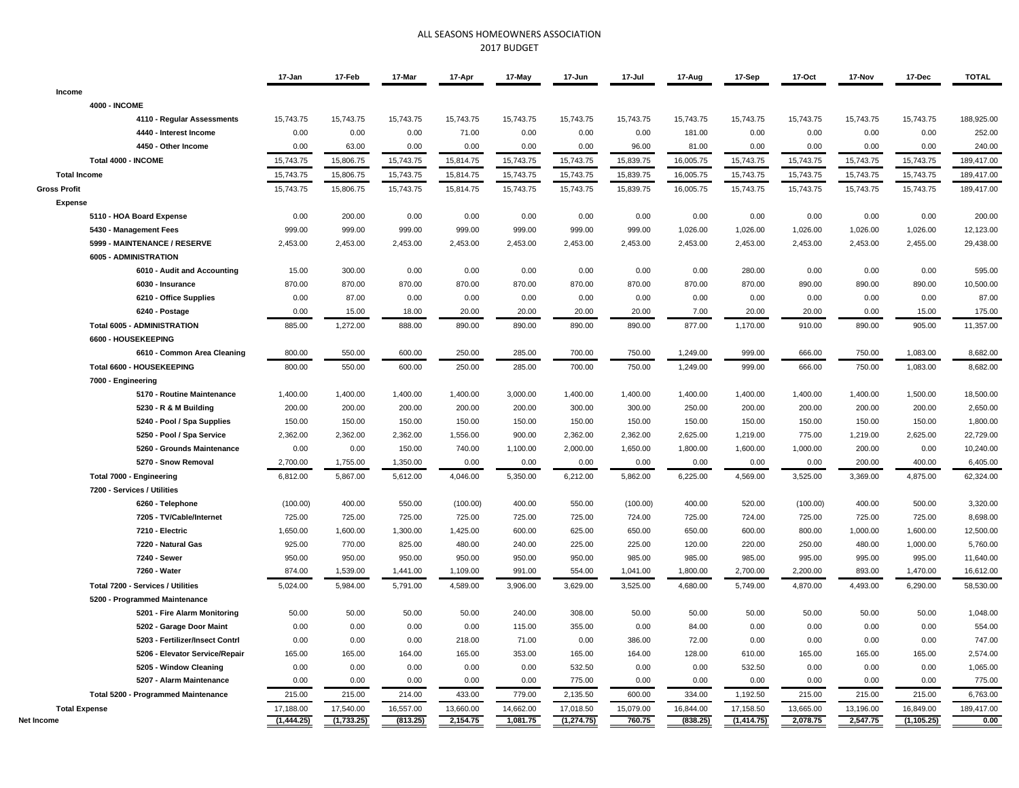## ALL SEASONS HOMEOWNERS ASSOCIATION 2017 BUDGET

|                                     | 17-Jan     | 17-Feb     | 17-Mar    | 17-Apr    | 17-May    | 17-Jun      | 17-Jul    | 17-Aug    | 17-Sep     | 17-Oct    | 17-Nov    | 17-Dec      | <b>TOTAL</b> |
|-------------------------------------|------------|------------|-----------|-----------|-----------|-------------|-----------|-----------|------------|-----------|-----------|-------------|--------------|
| Income                              |            |            |           |           |           |             |           |           |            |           |           |             |              |
| <b>4000 - INCOME</b>                |            |            |           |           |           |             |           |           |            |           |           |             |              |
| 4110 - Regular Assessments          | 15,743.75  | 15,743.75  | 15,743.75 | 15,743.75 | 15,743.75 | 15,743.75   | 15,743.75 | 15,743.75 | 15,743.75  | 15,743.75 | 15,743.75 | 15,743.75   | 188,925.00   |
| 4440 - Interest Income              | 0.00       | 0.00       | 0.00      | 71.00     | 0.00      | 0.00        | 0.00      | 181.00    | 0.00       | 0.00      | 0.00      | 0.00        | 252.00       |
| 4450 - Other Income                 | 0.00       | 63.00      | 0.00      | 0.00      | 0.00      | 0.00        | 96.00     | 81.00     | 0.00       | 0.00      | 0.00      | 0.00        | 240.00       |
| Total 4000 - INCOME                 | 15,743.75  | 15,806.75  | 15,743.75 | 15,814.75 | 15,743.75 | 15,743.75   | 15,839.75 | 16,005.75 | 15,743.75  | 15,743.75 | 15,743.75 | 15,743.75   | 189,417.00   |
| <b>Total Income</b>                 | 15,743.75  | 15,806.75  | 15,743.75 | 15,814.75 | 15,743.75 | 15,743.75   | 15,839.75 | 16,005.75 | 15,743.75  | 15,743.75 | 15,743.75 | 15,743.75   | 189,417.00   |
| <b>Gross Profit</b>                 | 15,743.75  | 15,806.75  | 15,743.75 | 15,814.75 | 15,743.75 | 15,743.75   | 15,839.75 | 16,005.75 | 15,743.75  | 15,743.75 | 15,743.75 | 15,743.75   | 189,417.00   |
| <b>Expense</b>                      |            |            |           |           |           |             |           |           |            |           |           |             |              |
| 5110 - HOA Board Expense            | 0.00       | 200.00     | 0.00      | 0.00      | 0.00      | 0.00        | 0.00      | 0.00      | 0.00       | 0.00      | 0.00      | 0.00        | 200.00       |
| 5430 - Management Fees              | 999.00     | 999.00     | 999.00    | 999.00    | 999.00    | 999.00      | 999.00    | 1,026.00  | 1,026.00   | 1,026.00  | 1,026.00  | 1,026.00    | 12,123.00    |
| 5999 - MAINTENANCE / RESERVE        | 2,453.00   | 2,453.00   | 2,453.00  | 2,453.00  | 2,453.00  | 2,453.00    | 2,453.00  | 2,453.00  | 2,453.00   | 2,453.00  | 2,453.00  | 2,455.00    | 29,438.00    |
| 6005 - ADMINISTRATION               |            |            |           |           |           |             |           |           |            |           |           |             |              |
| 6010 - Audit and Accounting         | 15.00      | 300.00     | 0.00      | 0.00      | 0.00      | 0.00        | 0.00      | 0.00      | 280.00     | 0.00      | 0.00      | 0.00        | 595.00       |
| 6030 - Insurance                    | 870.00     | 870.00     | 870.00    | 870.00    | 870.00    | 870.00      | 870.00    | 870.00    | 870.00     | 890.00    | 890.00    | 890.00      | 10,500.00    |
| 6210 - Office Supplies              | 0.00       | 87.00      | 0.00      | 0.00      | 0.00      | 0.00        | 0.00      | 0.00      | 0.00       | 0.00      | 0.00      | 0.00        | 87.00        |
| 6240 - Postage                      | 0.00       | 15.00      | 18.00     | 20.00     | 20.00     | 20.00       | 20.00     | 7.00      | 20.00      | 20.00     | 0.00      | 15.00       | 175.00       |
| <b>Total 6005 - ADMINISTRATION</b>  | 885.00     | 1,272.00   | 888.00    | 890.00    | 890.00    | 890.00      | 890.00    | 877.00    | 1,170.00   | 910.00    | 890.00    | 905.00      | 11,357.00    |
| 6600 - HOUSEKEEPING                 |            |            |           |           |           |             |           |           |            |           |           |             |              |
| 6610 - Common Area Cleaning         | 800.00     | 550.00     | 600.00    | 250.00    | 285.00    | 700.00      | 750.00    | 1,249.00  | 999.00     | 666.00    | 750.00    | 1,083.00    | 8,682.00     |
| Total 6600 - HOUSEKEEPING           | 800.00     | 550.00     | 600.00    | 250.00    | 285.00    | 700.00      | 750.00    | 1,249.00  | 999.00     | 666.00    | 750.00    | 1,083.00    | 8,682.00     |
| 7000 - Engineering                  |            |            |           |           |           |             |           |           |            |           |           |             |              |
| 5170 - Routine Maintenance          | 1,400.00   | 1,400.00   | 1,400.00  | 1,400.00  | 3,000.00  | 1,400.00    | 1,400.00  | 1,400.00  | 1,400.00   | 1,400.00  | 1,400.00  | 1,500.00    | 18,500.00    |
| 5230 - R & M Building               | 200.00     | 200.00     | 200.00    | 200.00    | 200.00    | 300.00      | 300.00    | 250.00    | 200.00     | 200.00    | 200.00    | 200.00      | 2,650.00     |
| 5240 - Pool / Spa Supplies          | 150.00     | 150.00     | 150.00    | 150.00    | 150.00    | 150.00      | 150.00    | 150.00    | 150.00     | 150.00    | 150.00    | 150.00      | 1,800.00     |
| 5250 - Pool / Spa Service           | 2,362.00   | 2,362.00   | 2,362.00  | 1,556.00  | 900.00    | 2,362.00    | 2,362.00  | 2,625.00  | 1,219.00   | 775.00    | 1,219.00  | 2,625.00    | 22,729.00    |
| 5260 - Grounds Maintenance          | 0.00       | 0.00       | 150.00    | 740.00    | 1,100.00  | 2,000.00    | 1,650.00  | 1,800.00  | 1,600.00   | 1,000.00  | 200.00    | 0.00        | 10,240.00    |
| 5270 - Snow Removal                 | 2,700.00   | 1,755.00   | 1,350.00  | 0.00      | 0.00      | 0.00        | 0.00      | 0.00      | 0.00       | 0.00      | 200.00    | 400.00      | 6,405.00     |
| Total 7000 - Engineering            | 6,812.00   | 5,867.00   | 5,612.00  | 4,046.00  | 5,350.00  | 6,212.00    | 5,862.00  | 6,225.00  | 4,569.00   | 3,525.00  | 3,369.00  | 4,875.00    | 62,324.00    |
| 7200 - Services / Utilities         |            |            |           |           |           |             |           |           |            |           |           |             |              |
| 6260 - Telephone                    | (100.00)   | 400.00     | 550.00    | (100.00)  | 400.00    | 550.00      | (100.00)  | 400.00    | 520.00     | (100.00)  | 400.00    | 500.00      | 3,320.00     |
| 7205 - TV/Cable/Internet            | 725.00     | 725.00     | 725.00    | 725.00    | 725.00    | 725.00      | 724.00    | 725.00    | 724.00     | 725.00    | 725.00    | 725.00      | 8,698.00     |
| 7210 - Electric                     | 1,650.00   | 1,600.00   | 1,300.00  | 1,425.00  | 600.00    | 625.00      | 650.00    | 650.00    | 600.00     | 800.00    | 1,000.00  | 1,600.00    | 12,500.00    |
| 7220 - Natural Gas                  | 925.00     | 770.00     | 825.00    | 480.00    | 240.00    | 225.00      | 225.00    | 120.00    | 220.00     | 250.00    | 480.00    | 1,000.00    | 5,760.00     |
| 7240 - Sewer                        | 950.00     | 950.00     | 950.00    | 950.00    | 950.00    | 950.00      | 985.00    | 985.00    | 985.00     | 995.00    | 995.00    | 995.00      | 11,640.00    |
| 7260 - Water                        | 874.00     | 1,539.00   | 1,441.00  | 1,109.00  | 991.00    | 554.00      | 1,041.00  | 1,800.00  | 2,700.00   | 2,200.00  | 893.00    | 1,470.00    | 16,612.00    |
| Total 7200 - Services / Utilities   | 5,024.00   | 5,984.00   | 5,791.00  | 4,589.00  | 3,906.00  | 3,629.00    | 3,525.00  | 4,680.00  | 5,749.00   | 4,870.00  | 4,493.00  | 6,290.00    | 58,530.00    |
| 5200 - Programmed Maintenance       |            |            |           |           |           |             |           |           |            |           |           |             |              |
| 5201 - Fire Alarm Monitoring        | 50.00      | 50.00      | 50.00     | 50.00     | 240.00    | 308.00      | 50.00     | 50.00     | 50.00      | 50.00     | 50.00     | 50.00       | 1,048.00     |
| 5202 - Garage Door Maint            | 0.00       | 0.00       | 0.00      | 0.00      | 115.00    | 355.00      | 0.00      | 84.00     | 0.00       | 0.00      | 0.00      | 0.00        | 554.00       |
| 5203 - Fertilizer/Insect Contrl     | 0.00       | 0.00       | 0.00      | 218.00    | 71.00     | 0.00        | 386.00    | 72.00     | 0.00       | 0.00      | 0.00      | 0.00        | 747.00       |
| 5206 - Elevator Service/Repair      | 165.00     | 165.00     | 164.00    | 165.00    | 353.00    | 165.00      | 164.00    | 128.00    | 610.00     | 165.00    | 165.00    | 165.00      | 2,574.00     |
| 5205 - Window Cleaning              | 0.00       | 0.00       | 0.00      | 0.00      | 0.00      | 532.50      | 0.00      | 0.00      | 532.50     | 0.00      | 0.00      | 0.00        | 1,065.00     |
| 5207 - Alarm Maintenance            | 0.00       | 0.00       | 0.00      | 0.00      | 0.00      | 775.00      | 0.00      | 0.00      | 0.00       | 0.00      | 0.00      | 0.00        | 775.00       |
| Total 5200 - Programmed Maintenance | 215.00     | 215.00     | 214.00    | 433.00    | 779.00    | 2,135.50    | 600.00    | 334.00    | 1,192.50   | 215.00    | 215.00    | 215.00      | 6,763.00     |
| <b>Total Expense</b>                | 17,188.00  | 17,540.00  | 16,557.00 | 13,660.00 | 14,662.00 | 17,018.50   | 15,079.00 | 16,844.00 | 17,158.50  | 13,665.00 | 13,196.00 | 16,849.00   | 189,417.00   |
| Net Income                          | (1,444.25) | (1,733.25) | (813.25)  | 2,154.75  | 1,081.75  | (1, 274.75) | 760.75    | (838.25)  | (1,414.75) | 2,078.75  | 2,547.75  | (1, 105.25) | 0.00         |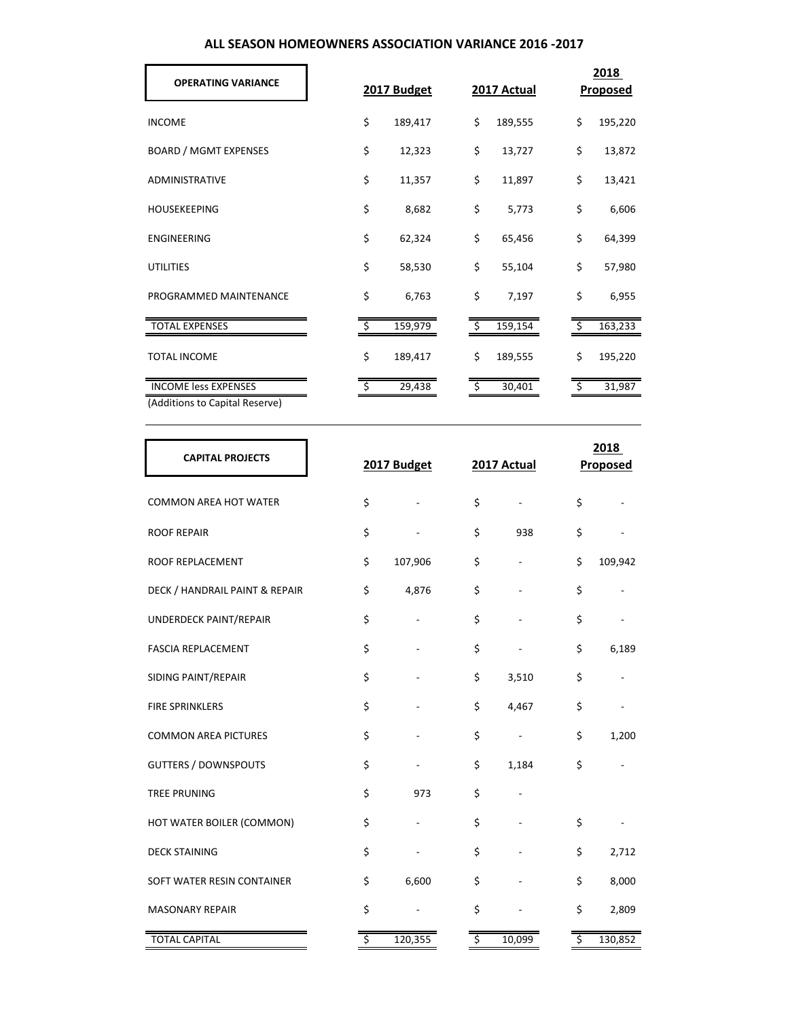| ALL SEASON HOMEOWNERS ASSOCIATION VARIANCE 2016 -2017 |  |
|-------------------------------------------------------|--|
|-------------------------------------------------------|--|

| <b>OPERATING VARIANCE</b>      | 2017 Budget   |    | 2017 Actual | 2018<br><b>Proposed</b> |  |
|--------------------------------|---------------|----|-------------|-------------------------|--|
| <b>INCOME</b>                  | \$<br>189,417 | \$ | 189,555     | \$<br>195,220           |  |
| <b>BOARD / MGMT EXPENSES</b>   | \$<br>12,323  | \$ | 13,727      | \$<br>13,872            |  |
| <b>ADMINISTRATIVE</b>          | \$<br>11,357  | \$ | 11,897      | \$<br>13,421            |  |
| <b>HOUSEKEEPING</b>            | \$<br>8,682   | \$ | 5,773       | \$<br>6,606             |  |
| ENGINEERING                    | \$<br>62,324  | \$ | 65,456      | \$<br>64,399            |  |
| <b>UTILITIES</b>               | \$<br>58,530  | \$ | 55,104      | \$<br>57,980            |  |
| PROGRAMMED MAINTENANCE         | \$<br>6,763   | \$ | 7,197       | \$<br>6,955             |  |
| <b>TOTAL EXPENSES</b>          | 159,979       | Ŝ. | 159,154     | 163,233                 |  |
| <b>TOTAL INCOME</b>            | \$<br>189,417 | \$ | 189,555     | \$<br>195,220           |  |
| <b>INCOME less EXPENSES</b>    | 29,438        | \$ | 30,401      | 31,987                  |  |
| (Additions to Capital Reserve) |               |    |             |                         |  |

| <b>CAPITAL PROJECTS</b>        |                        | 2017 Budget |                  | 2017 Actual              |                        | 2018<br><b>Proposed</b> |  |  |  |  |
|--------------------------------|------------------------|-------------|------------------|--------------------------|------------------------|-------------------------|--|--|--|--|
| <b>COMMON AREA HOT WATER</b>   | \$                     |             | \$               | L.                       | \$                     |                         |  |  |  |  |
| <b>ROOF REPAIR</b>             | \$                     |             | \$               | 938                      | \$                     |                         |  |  |  |  |
| ROOF REPLACEMENT               | \$                     | 107,906     | \$               |                          | \$                     | 109,942                 |  |  |  |  |
| DECK / HANDRAIL PAINT & REPAIR | \$                     | 4,876       | \$               |                          | \$                     |                         |  |  |  |  |
| UNDERDECK PAINT/REPAIR         | \$                     |             | \$               |                          | \$                     |                         |  |  |  |  |
| <b>FASCIA REPLACEMENT</b>      | \$                     |             | \$               |                          | \$                     | 6,189                   |  |  |  |  |
| SIDING PAINT/REPAIR            | \$                     |             | \$               | 3,510                    | \$                     |                         |  |  |  |  |
| <b>FIRE SPRINKLERS</b>         | \$                     |             | \$               | 4,467                    | \$                     |                         |  |  |  |  |
| <b>COMMON AREA PICTURES</b>    | \$                     |             | \$               | $\overline{\phantom{a}}$ | \$                     | 1,200                   |  |  |  |  |
| <b>GUTTERS / DOWNSPOUTS</b>    | \$                     |             | \$               | 1,184                    | \$                     |                         |  |  |  |  |
| <b>TREE PRUNING</b>            | \$                     | 973         | \$               |                          |                        |                         |  |  |  |  |
| HOT WATER BOILER (COMMON)      | \$                     |             | \$               |                          | \$                     |                         |  |  |  |  |
| <b>DECK STAINING</b>           | \$                     |             | \$               |                          | \$                     | 2,712                   |  |  |  |  |
| SOFT WATER RESIN CONTAINER     | \$                     | 6,600       | \$               |                          | \$                     | 8,000                   |  |  |  |  |
| <b>MASONARY REPAIR</b>         | \$                     |             | \$               |                          | \$                     | 2,809                   |  |  |  |  |
| <b>TOTAL CAPITAL</b>           | $\overline{\varsigma}$ | 120,355     | $\overline{\xi}$ | 10,099                   | $\overline{\varsigma}$ | 130,852                 |  |  |  |  |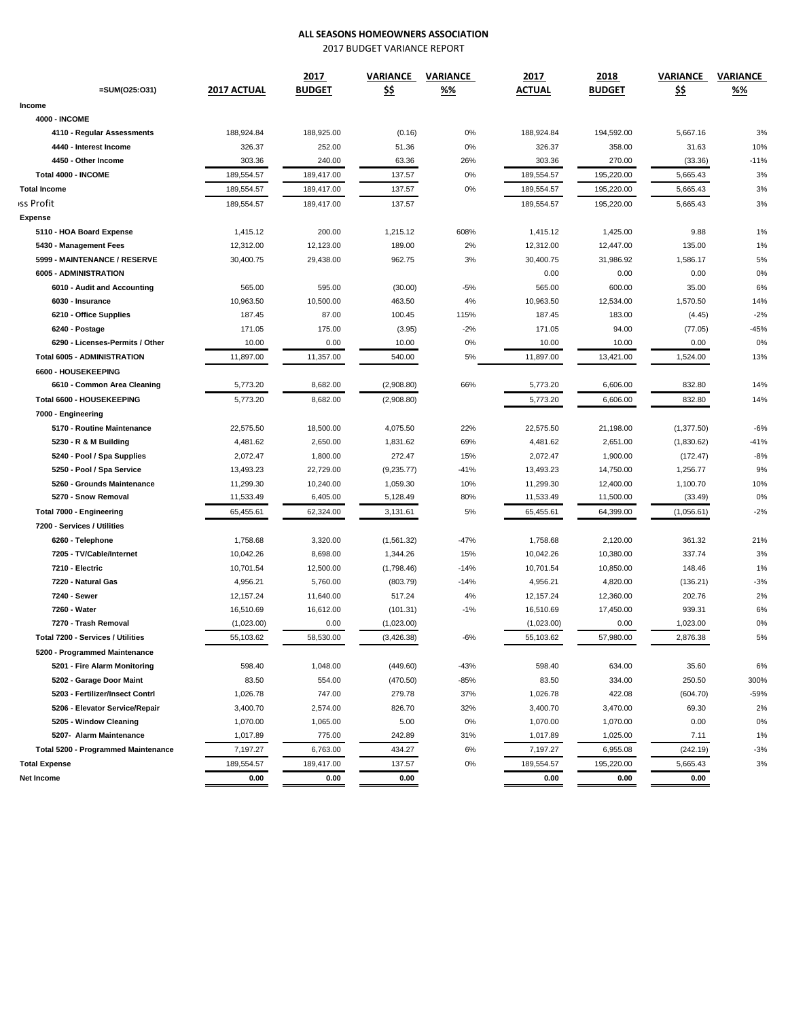## **ALL SEASONS HOMEOWNERS ASSOCIATION**

2017 BUDGET VARIANCE REPORT

|                                            |             | 2017          | VARIANCE    | VARIANCE | 2017       | 2018          | VARIANCE    | VARIANCE |  |
|--------------------------------------------|-------------|---------------|-------------|----------|------------|---------------|-------------|----------|--|
| $=$ SUM(O25:O31)                           | 2017 ACTUAL | <b>BUDGET</b> | <u>\$\$</u> | %%       | ACTUAL     | <b>BUDGET</b> | <u>\$\$</u> | %%       |  |
| Income                                     |             |               |             |          |            |               |             |          |  |
| <b>4000 - INCOME</b>                       |             |               |             |          |            |               |             |          |  |
| 4110 - Regular Assessments                 | 188,924.84  | 188,925.00    | (0.16)      | 0%       | 188,924.84 | 194,592.00    | 5,667.16    | 3%       |  |
| 4440 - Interest Income                     | 326.37      | 252.00        | 51.36       | 0%       | 326.37     | 358.00        | 31.63       | 10%      |  |
| 4450 - Other Income                        | 303.36      | 240.00        | 63.36       | 26%      | 303.36     | 270.00        | (33.36)     | $-11%$   |  |
| Total 4000 - INCOME                        | 189,554.57  | 189,417.00    | 137.57      | 0%       | 189,554.57 | 195,220.00    | 5,665.43    | 3%       |  |
| <b>Total Income</b>                        | 189,554.57  | 189,417.00    | 137.57      | 0%       | 189,554.57 | 195,220.00    | 5,665.43    | 3%       |  |
| iss Profit                                 | 189,554.57  | 189,417.00    | 137.57      |          | 189,554.57 | 195,220.00    | 5,665.43    | 3%       |  |
| <b>Expense</b>                             |             |               |             |          |            |               |             |          |  |
| 5110 - HOA Board Expense                   | 1,415.12    | 200.00        | 1,215.12    | 608%     | 1,415.12   | 1,425.00      | 9.88        | 1%       |  |
| 5430 - Management Fees                     | 12,312.00   | 12,123.00     | 189.00      | 2%       | 12,312.00  | 12,447.00     | 135.00      | 1%       |  |
| 5999 - MAINTENANCE / RESERVE               | 30,400.75   | 29,438.00     | 962.75      | 3%       | 30,400.75  | 31,986.92     | 1,586.17    | 5%       |  |
| 6005 - ADMINISTRATION                      |             |               |             |          | 0.00       | 0.00          | 0.00        | 0%       |  |
| 6010 - Audit and Accounting                | 565.00      | 595.00        | (30.00)     | $-5%$    | 565.00     | 600.00        | 35.00       | 6%       |  |
| 6030 - Insurance                           | 10,963.50   | 10,500.00     | 463.50      | 4%       | 10,963.50  | 12,534.00     | 1,570.50    | 14%      |  |
| 6210 - Office Supplies                     | 187.45      | 87.00         | 100.45      | 115%     | 187.45     | 183.00        | (4.45)      | $-2%$    |  |
| 6240 - Postage                             | 171.05      | 175.00        | (3.95)      | $-2%$    | 171.05     | 94.00         | (77.05)     | $-45%$   |  |
| 6290 - Licenses-Permits / Other            | 10.00       | 0.00          | 10.00       | 0%       | 10.00      | 10.00         | 0.00        | 0%       |  |
| <b>Total 6005 - ADMINISTRATION</b>         | 11,897.00   | 11,357.00     | 540.00      | 5%       | 11,897.00  | 13,421.00     | 1,524.00    | 13%      |  |
| 6600 - HOUSEKEEPING                        |             |               |             |          |            |               |             |          |  |
| 6610 - Common Area Cleaning                | 5,773.20    | 8,682.00      | (2,908.80)  | 66%      | 5,773.20   | 6,606.00      | 832.80      | 14%      |  |
| Total 6600 - HOUSEKEEPING                  | 5,773.20    | 8,682.00      | (2,908.80)  |          | 5,773.20   | 6,606.00      | 832.80      | 14%      |  |
| 7000 - Engineering                         |             |               |             |          |            |               |             |          |  |
| 5170 - Routine Maintenance                 | 22,575.50   | 18,500.00     | 4,075.50    | 22%      | 22,575.50  | 21,198.00     | (1,377.50)  | $-6%$    |  |
| 5230 - R & M Building                      | 4,481.62    | 2,650.00      | 1,831.62    | 69%      | 4,481.62   | 2,651.00      | (1,830.62)  | $-41%$   |  |
| 5240 - Pool / Spa Supplies                 | 2,072.47    | 1,800.00      | 272.47      | 15%      | 2,072.47   | 1,900.00      | (172.47)    | $-8%$    |  |
| 5250 - Pool / Spa Service                  | 13,493.23   | 22,729.00     | (9, 235.77) | $-41%$   | 13,493.23  | 14,750.00     | 1,256.77    | 9%       |  |
| 5260 - Grounds Maintenance                 | 11,299.30   | 10,240.00     | 1,059.30    | 10%      | 11,299.30  | 12,400.00     | 1,100.70    | 10%      |  |
| 5270 - Snow Removal                        | 11,533.49   | 6,405.00      | 5,128.49    | 80%      | 11,533.49  | 11,500.00     | (33.49)     | 0%       |  |
| Total 7000 - Engineering                   | 65,455.61   | 62,324.00     | 3,131.61    | 5%       | 65,455.61  | 64,399.00     | (1,056.61)  | $-2%$    |  |
| 7200 - Services / Utilities                |             |               |             |          |            |               |             |          |  |
| 6260 - Telephone                           | 1,758.68    | 3,320.00      | (1,561.32)  | $-47%$   | 1,758.68   | 2,120.00      | 361.32      | 21%      |  |
| 7205 - TV/Cable/Internet                   | 10,042.26   | 8,698.00      | 1,344.26    | 15%      | 10,042.26  | 10,380.00     | 337.74      | 3%       |  |
| 7210 - Electric                            | 10,701.54   | 12,500.00     | (1,798.46)  | $-14%$   | 10,701.54  | 10,850.00     | 148.46      | 1%       |  |
| 7220 - Natural Gas                         | 4,956.21    | 5,760.00      | (803.79)    | $-14%$   | 4,956.21   | 4,820.00      | (136.21)    | $-3%$    |  |
| 7240 - Sewer                               | 12, 157.24  | 11,640.00     | 517.24      | 4%       | 12,157.24  | 12,360.00     | 202.76      | 2%       |  |
| 7260 - Water                               | 16,510.69   | 16,612.00     | (101.31)    | $-1%$    | 16,510.69  | 17,450.00     | 939.31      | 6%       |  |
| 7270 - Trash Removal                       | (1,023.00)  | 0.00          | (1,023.00)  |          | (1,023.00) | 0.00          | 1,023.00    | 0%       |  |
| Total 7200 - Services / Utilities          | 55,103.62   | 58,530.00     | (3, 426.38) | $-6%$    | 55,103.62  | 57,980.00     | 2,876.38    | 5%       |  |
| 5200 - Programmed Maintenance              |             |               |             |          |            |               |             |          |  |
| 5201 - Fire Alarm Monitoring               | 598.40      | 1,048.00      | (449.60)    | $-43%$   | 598.40     | 634.00        | 35.60       | 6%       |  |
| 5202 - Garage Door Maint                   | 83.50       | 554.00        | (470.50)    | $-85%$   | 83.50      | 334.00        | 250.50      | 300%     |  |
| 5203 - Fertilizer/Insect Contrl            | 1,026.78    | 747.00        | 279.78      | 37%      | 1,026.78   | 422.08        | (604.70)    | $-59%$   |  |
| 5206 - Elevator Service/Repair             | 3,400.70    | 2,574.00      | 826.70      | 32%      | 3,400.70   | 3,470.00      | 69.30       | 2%       |  |
| 5205 - Window Cleaning                     | 1,070.00    | 1,065.00      | 5.00        | 0%       | 1,070.00   | 1,070.00      | 0.00        | 0%       |  |
| 5207- Alarm Maintenance                    | 1,017.89    | 775.00        | 242.89      | 31%      | 1,017.89   | 1,025.00      | 7.11        | 1%       |  |
| <b>Total 5200 - Programmed Maintenance</b> | 7,197.27    | 6,763.00      | 434.27      | 6%       | 7,197.27   | 6,955.08      | (242.19)    | $-3%$    |  |
| <b>Total Expense</b>                       | 189,554.57  | 189,417.00    | 137.57      | $0\%$    | 189,554.57 | 195,220.00    | 5,665.43    | 3%       |  |
| Net Income                                 | 0.00        | 0.00          | 0.00        |          | 0.00       | 0.00          | 0.00        |          |  |
|                                            |             |               |             |          |            |               |             |          |  |